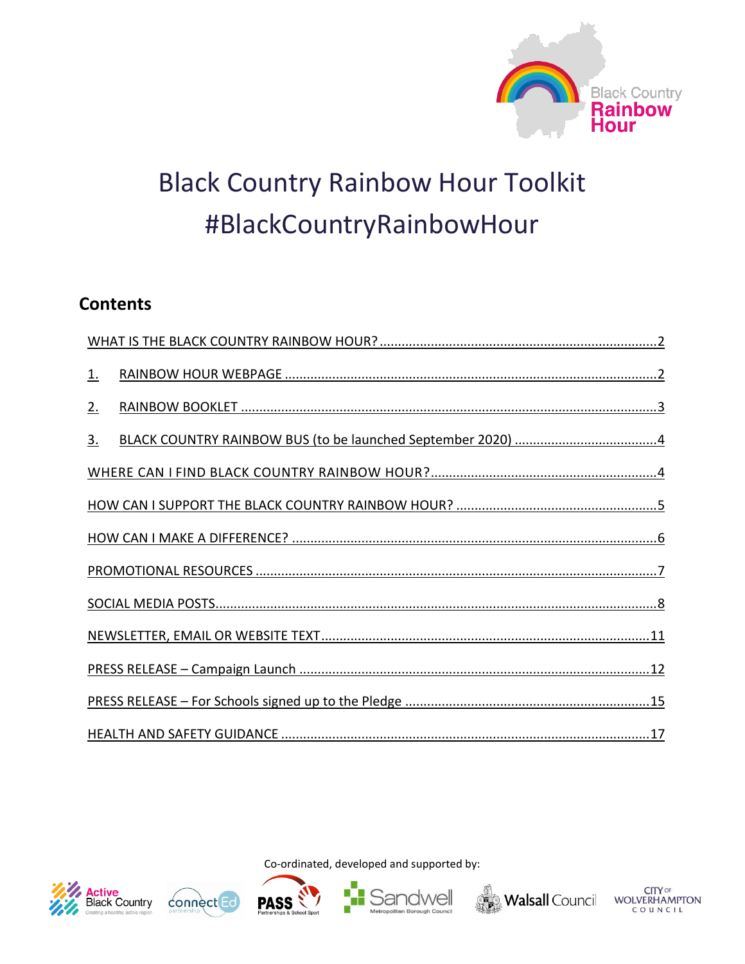

# **Black Country Rainbow Hour Toolkit** #BlackCountryRainbowHour

# **Contents**

| <u>1.</u>         |  |  |  |  |
|-------------------|--|--|--|--|
| 2.                |  |  |  |  |
| $\underline{3}$ . |  |  |  |  |
|                   |  |  |  |  |
|                   |  |  |  |  |
|                   |  |  |  |  |
|                   |  |  |  |  |
|                   |  |  |  |  |
|                   |  |  |  |  |
|                   |  |  |  |  |
|                   |  |  |  |  |
|                   |  |  |  |  |











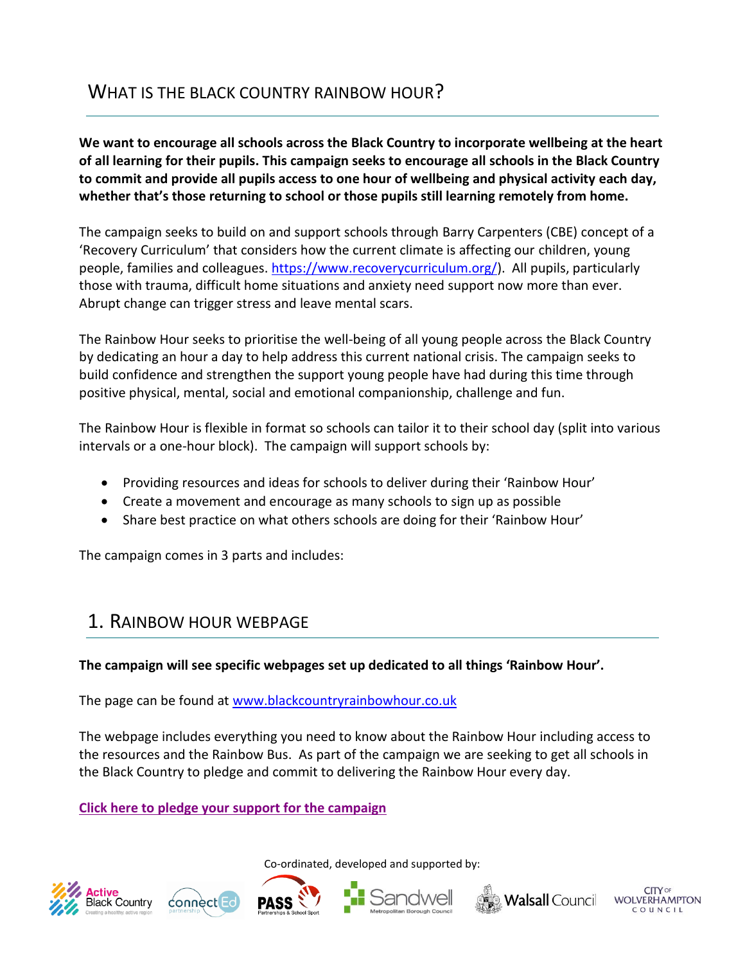<span id="page-1-0"></span>**We want to encourage all schools across the Black Country to incorporate wellbeing at the heart of all learning for their pupils. This campaign seeks to encourage all schools in the Black Country to commit and provide all pupils access to one hour of wellbeing and physical activity each day, whether that's those returning to school or those pupils still learning remotely from home.** 

The campaign seeks to build on and support schools through Barry Carpenters (CBE) concept of a 'Recovery Curriculum' that considers how the current climate is affecting our children, young people, families and colleagues. [https://www.recoverycurriculum.org/\)](https://www.recoverycurriculum.org/). All pupils, particularly those with trauma, difficult home situations and anxiety need support now more than ever. Abrupt change can trigger stress and leave mental scars.

The Rainbow Hour seeks to prioritise the well-being of all young people across the Black Country by dedicating an hour a day to help address this current national crisis. The campaign seeks to build confidence and strengthen the support young people have had during this time through positive physical, mental, social and emotional companionship, challenge and fun.

The Rainbow Hour is flexible in format so schools can tailor it to their school day (split into various intervals or a one-hour block). The campaign will support schools by:

- Providing resources and ideas for schools to deliver during their 'Rainbow Hour'
- Create a movement and encourage as many schools to sign up as possible
- Share best practice on what others schools are doing for their 'Rainbow Hour'

The campaign comes in 3 parts and includes:

# <span id="page-1-1"></span>1. RAINBOW HOUR WEBPAGE

# **The campaign will see specific webpages set up dedicated to all things 'Rainbow Hour'.**

The page can be found at [www.blackcountryrainbowhour.co.uk](http://www.blackcountryrainbowhour.co.uk/)

The webpage includes everything you need to know about the Rainbow Hour including access to the resources and the Rainbow Bus. As part of the campaign we are seeking to get all schools in the Black Country to pledge and commit to delivering the Rainbow Hour every day.

Co-ordinated, developed and supported by:

# **[Click here to pledge your support for the campaign](https://www.activeblackcountry.co.uk/rainbow-hour/pledge/)**











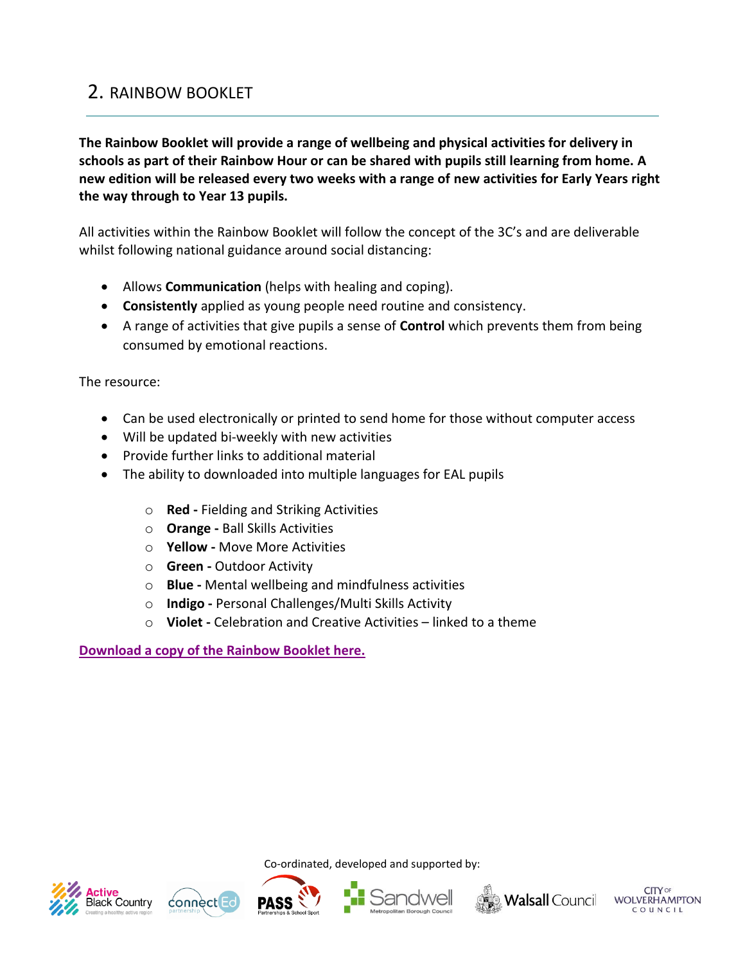# <span id="page-2-0"></span>2. RAINBOW BOOKLET

**The Rainbow Booklet will provide a range of wellbeing and physical activities for delivery in schools as part of their Rainbow Hour or can be shared with pupils still learning from home. A new edition will be released every two weeks with a range of new activities for Early Years right the way through to Year 13 pupils.** 

All activities within the Rainbow Booklet will follow the concept of the 3C's and are deliverable whilst following national guidance around social distancing:

- Allows **Communication** (helps with healing and coping).
- **Consistently** applied as young people need routine and consistency.
- A range of activities that give pupils a sense of **Control** which prevents them from being consumed by emotional reactions.

The resource:

- Can be used electronically or printed to send home for those without computer access
- Will be updated bi-weekly with new activities
- Provide further links to additional material
- The ability to downloaded into multiple languages for EAL pupils
	- o **Red -** Fielding and Striking Activities
	- o **Orange -** Ball Skills Activities
	- o **Yellow -** Move More Activities
	- o **Green -** Outdoor Activity
	- o **Blue -** Mental wellbeing and mindfulness activities
	- o **Indigo -** Personal Challenges/Multi Skills Activity
	- o **Violet -** Celebration and Creative Activities linked to a theme

#### **[Download a copy of the Rainbow Booklet](https://www.activeblackcountry.co.uk/rainbow-hour/the-rainbow-booklet/) here.**











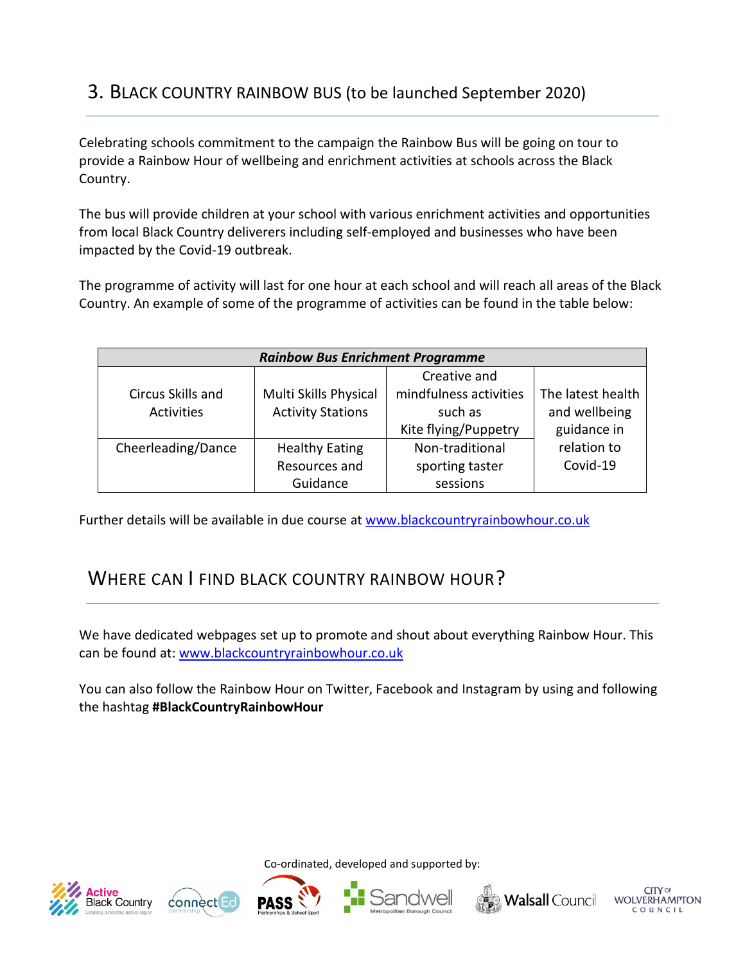# <span id="page-3-0"></span>3. BLACK COUNTRY RAINBOW BUS (to be launched September 2020)

Celebrating schools commitment to the campaign the Rainbow Bus will be going on tour to provide a Rainbow Hour of wellbeing and enrichment activities at schools across the Black Country.

The bus will provide children at your school with various enrichment activities and opportunities from local Black Country deliverers including self-employed and businesses who have been impacted by the Covid-19 outbreak.

The programme of activity will last for one hour at each school and will reach all areas of the Black Country. An example of some of the programme of activities can be found in the table below:

| <b>Rainbow Bus Enrichment Programme</b> |                          |                        |                   |
|-----------------------------------------|--------------------------|------------------------|-------------------|
|                                         |                          | Creative and           |                   |
| Circus Skills and                       | Multi Skills Physical    | mindfulness activities | The latest health |
| <b>Activities</b>                       | <b>Activity Stations</b> | such as                | and wellbeing     |
|                                         |                          | Kite flying/Puppetry   | guidance in       |
| Cheerleading/Dance                      | <b>Healthy Eating</b>    | Non-traditional        | relation to       |
|                                         | Resources and            | sporting taster        | Covid-19          |
|                                         | Guidance                 | sessions               |                   |

Further details will be available in due course at [www.blackcountryrainbowhour.co.uk](http://www.blackcountryrainbowhour.co.uk/)

# <span id="page-3-1"></span>WHERE CAN I FIND BLACK COUNTRY RAINBOW HOUR?

We have dedicated webpages set up to promote and shout about everything Rainbow Hour. This can be found at: [www.blackcountryrainbowhour.co.uk](http://www.blackcountryrainbowhour.co.uk/)

You can also follow the Rainbow Hour on Twitter, Facebook and Instagram by using and following the hashtag **#BlackCountryRainbowHour**











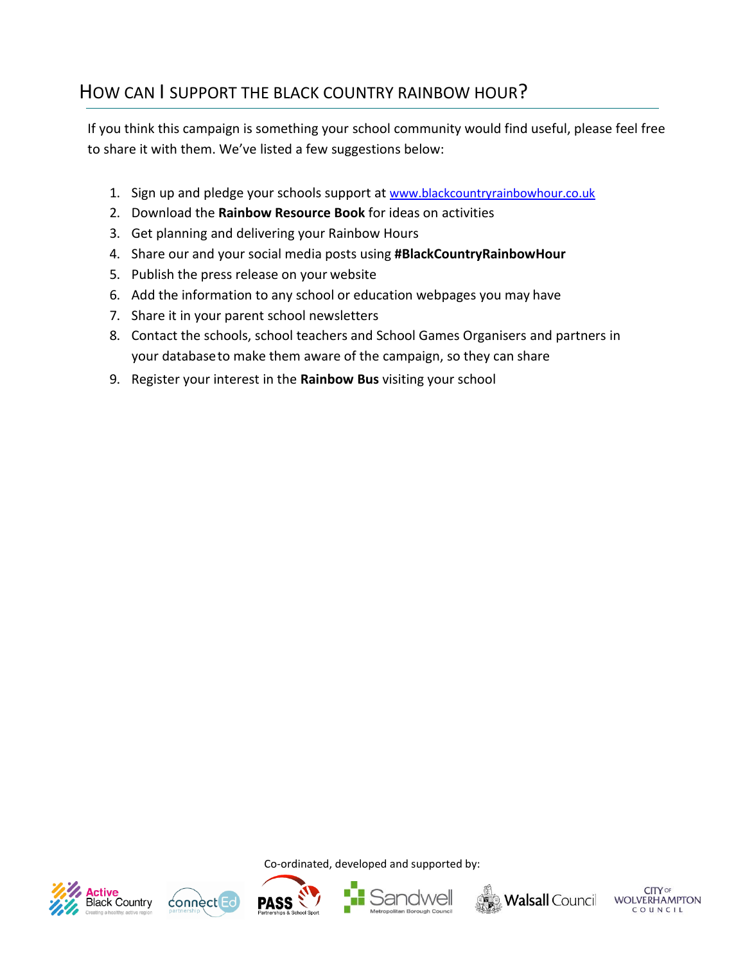# <span id="page-4-0"></span>HOW CAN I SUPPORT THE BLACK COUNTRY RAINBOW HOUR?

If you think this campaign is something your school community would find useful, please feel free to share it with them. We've listed a few suggestions below:

- 1. Sign up and pledge your schools support at [www.blackcountryrainbowhour.co.uk](http://www.blackcountryrainbowhour.co.uk/)
- 2. Download the **Rainbow Resource Book** for ideas on activities
- 3. Get planning and delivering your Rainbow Hours
- 4. Share our and your social media posts using **#BlackCountryRainbowHour**
- 5. Publish the press release on your website
- 6. Add the information to any school or education webpages you may have
- 7. Share it in your parent school newsletters
- 8. Contact the schools, school teachers and School Games Organisers and partners in your databaseto make them aware of the campaign, so they can share
- 9. Register your interest in the **Rainbow Bus** visiting your school











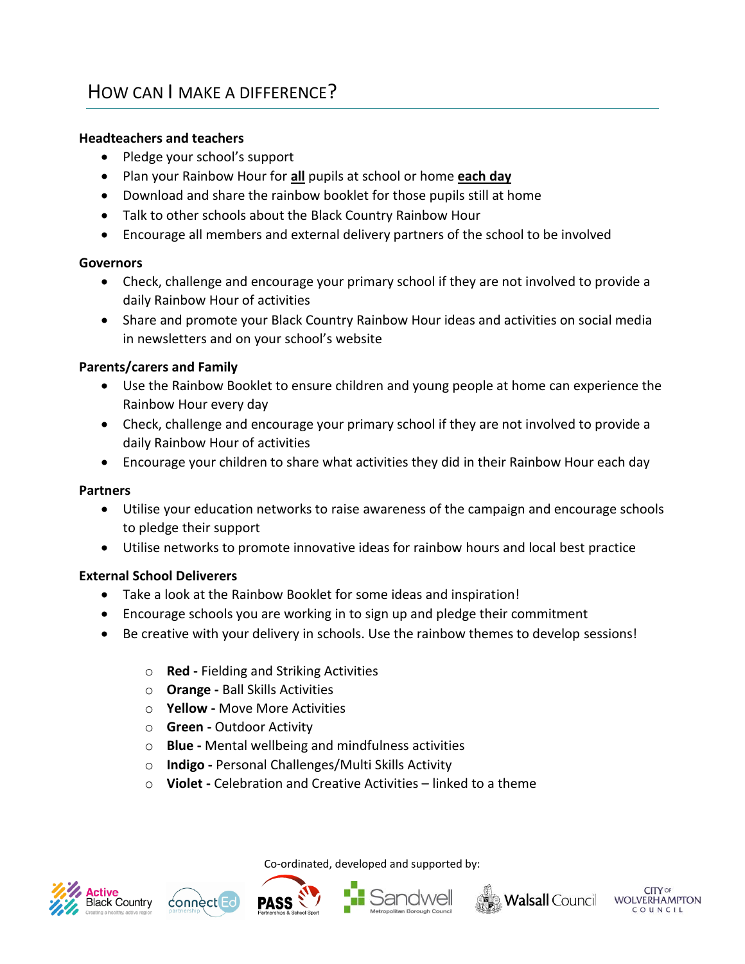## <span id="page-5-0"></span>**Headteachers and teachers**

- Pledge your school's support
- Plan your Rainbow Hour for **all** pupils at school or home **each day**
- Download and share the rainbow booklet for those pupils still at home
- Talk to other schools about the Black Country Rainbow Hour
- Encourage all members and external delivery partners of the school to be involved

#### **Governors**

- Check, challenge and encourage your primary school if they are not involved to provide a daily Rainbow Hour of activities
- Share and promote your Black Country Rainbow Hour ideas and activities on social media in newsletters and on your school's website

# **Parents/carers and Family**

- Use the Rainbow Booklet to ensure children and young people at home can experience the Rainbow Hour every day
- Check, challenge and encourage your primary school if they are not involved to provide a daily Rainbow Hour of activities
- Encourage your children to share what activities they did in their Rainbow Hour each day

## **Partners**

- Utilise your education networks to raise awareness of the campaign and encourage schools to pledge their support
- Utilise networks to promote innovative ideas for rainbow hours and local best practice

# **External School Deliverers**

- Take a look at the Rainbow Booklet for some ideas and inspiration!
- Encourage schools you are working in to sign up and pledge their commitment
- Be creative with your delivery in schools. Use the rainbow themes to develop sessions!
	- o **Red -** Fielding and Striking Activities
	- o **Orange -** Ball Skills Activities
	- o **Yellow -** Move More Activities
	- o **Green -** Outdoor Activity
	- o **Blue -** Mental wellbeing and mindfulness activities
	- o **Indigo -** Personal Challenges/Multi Skills Activity
	- o **Violet -** Celebration and Creative Activities linked to a theme











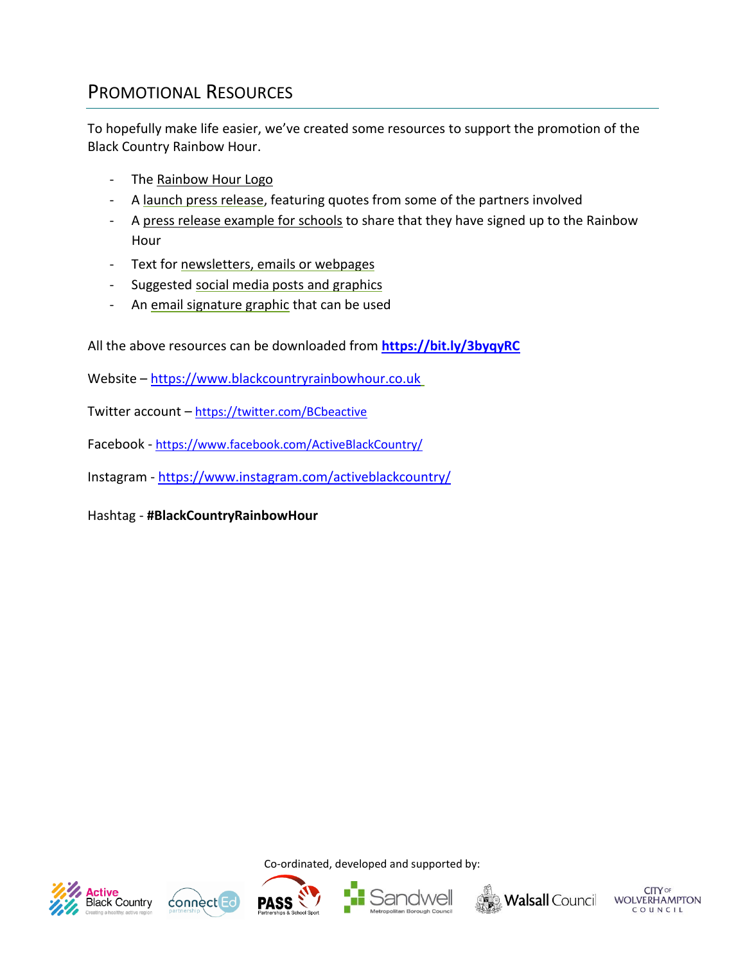# <span id="page-6-0"></span>PROMOTIONAL RESOURCES

To hopefully make life easier, we've created some resources to support the promotion of the Black Country Rainbow Hour.

- The Rainbow Hour Logo
- A launch press release, featuring quotes from some of the partners involved
- A press release example for schools to share that they have signed up to the Rainbow Hour
- Text for newsletters, emails or webpages
- Suggested social media posts and graphics
- An email signature graphic that can be used

All the above resources can be downloaded from **<https://bit.ly/3byqyRC>**

Website – [https://www.blackcountryrainbowhour.co.uk](https://www.blackcountryrainbowhour.co.uk/)

Twitter account – <https://twitter.com/BCbeactive>

Facebook - <https://www.facebook.com/ActiveBlackCountry/>

Instagram - <https://www.instagram.com/activeblackcountry/>

Hashtag - **#BlackCountryRainbowHour**









Co-ordinated, developed and supported by:





**CITY** OF **WOLVERHAMPTON**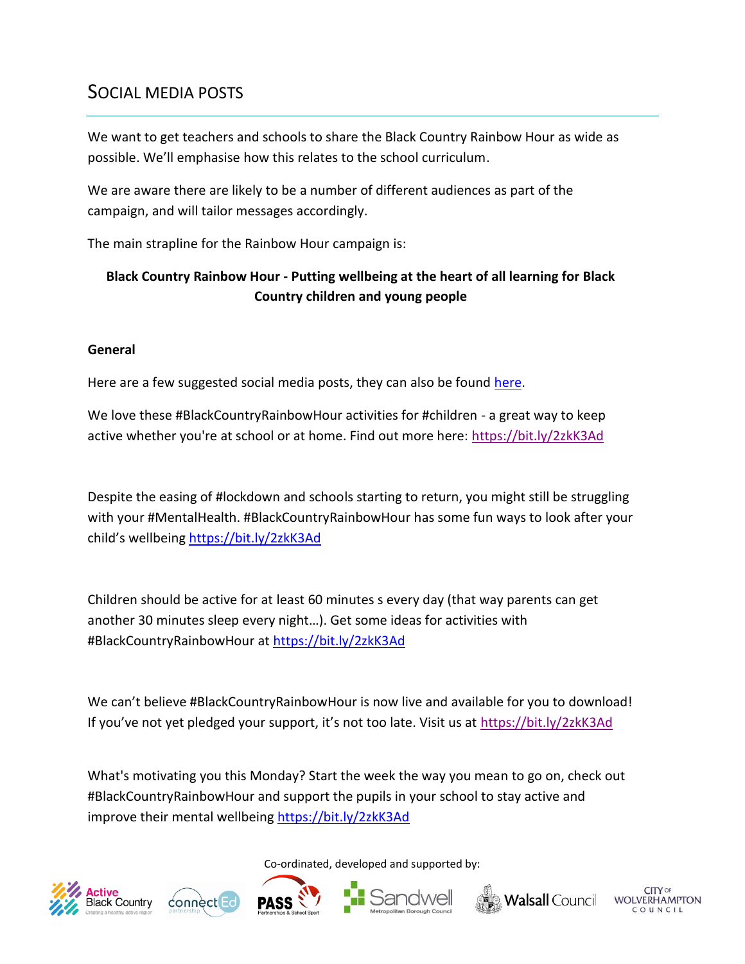# <span id="page-7-0"></span>SOCIAL MEDIA POSTS

We want to get teachers and schools to share the Black Country Rainbow Hour as wide as possible. We'll emphasise how this relates to the school curriculum.

We are aware there are likely to be a number of different audiences as part of the campaign, and will tailor messages accordingly.

The main strapline for the Rainbow Hour campaign is:

# **Black Country Rainbow Hour - Putting wellbeing at the heart of all learning for Black Country children and young people**

## **General**

Here are a few suggested social media posts, they can also be found [here.](https://bit.ly/3byqyRC)

We love these #BlackCountryRainbowHour activities for #children - a great way to keep active whether you're at school or at home. Find out more here:<https://bit.ly/2zkK3Ad>

Despite the easing of #lockdown and schools starting to return, you might still be struggling with your #MentalHealth. #BlackCountryRainbowHour has some fun ways to look after your child's wellbeing <https://bit.ly/2zkK3Ad>

Children should be active for at least 60 minutes s every day (that way parents can get another 30 minutes sleep every night…). Get some ideas for activities with #BlackCountryRainbowHour at <https://bit.ly/2zkK3Ad>

We can't believe #BlackCountryRainbowHour is now live and available for you to download! If you've not yet pledged your support, it's not too late. Visit us at <https://bit.ly/2zkK3Ad>

What's motivating you this Monday? Start the week the way you mean to go on, check out #BlackCountryRainbowHour and support the pupils in your school to stay active and improve their mental wellbeing<https://bit.ly/2zkK3Ad>

Co-ordinated, developed and supported by:













**WOLVERHAMPTON**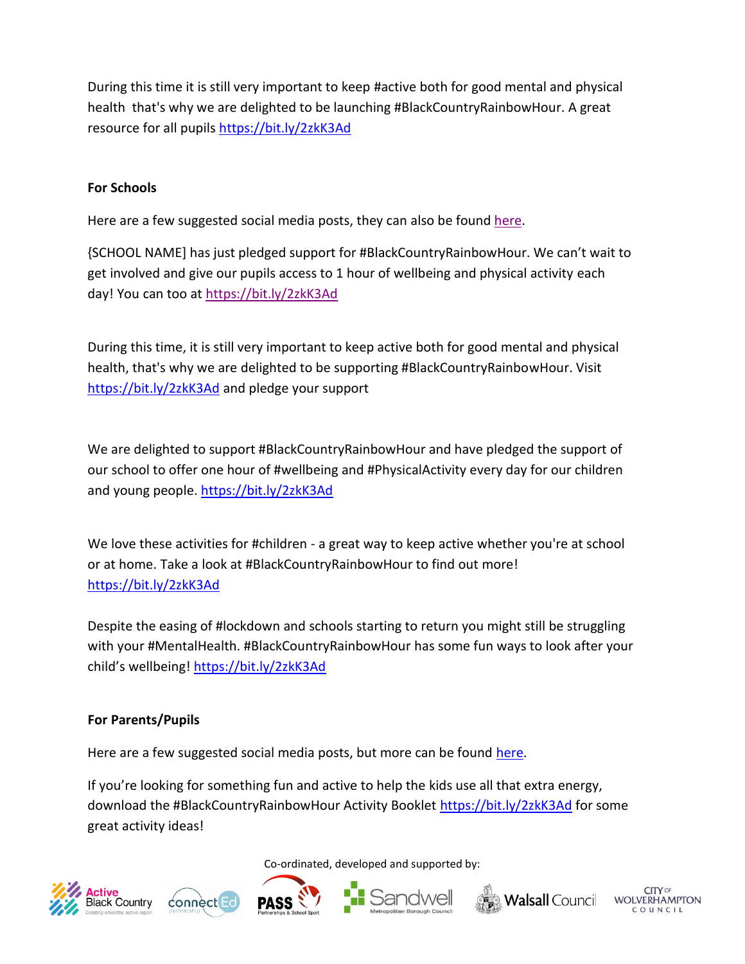During this time it is still very important to keep #active both for good mental and physical health that's why we are delighted to be launching #BlackCountryRainbowHour. A great resource for all pupils <https://bit.ly/2zkK3Ad>

# **For Schools**

Here are a few suggested social media posts, they can also be found [here.](https://bit.ly/3byqyRC)

{SCHOOL NAME] has just pledged support for #BlackCountryRainbowHour. We can't wait to get involved and give our pupils access to 1 hour of wellbeing and physical activity each day! You can too at<https://bit.ly/2zkK3Ad>

During this time, it is still very important to keep active both for good mental and physical health, that's why we are delighted to be supporting #BlackCountryRainbowHour. Visit <https://bit.ly/2zkK3Ad> and pledge your support

We are delighted to support #BlackCountryRainbowHour and have pledged the support of our school to offer one hour of #wellbeing and #PhysicalActivity every day for our children and young people.<https://bit.ly/2zkK3Ad>

We love these activities for #children - a great way to keep active whether you're at school or at home. Take a look at #BlackCountryRainbowHour to find out more! <https://bit.ly/2zkK3Ad>

Despite the easing of #lockdown and schools starting to return you might still be struggling with your #MentalHealth. #BlackCountryRainbowHour has some fun ways to look after your child's wellbeing! <https://bit.ly/2zkK3Ad>

#### **For Parents/Pupils**

Here are a few suggested social media posts, but more can be found [here.](https://bit.ly/3byqyRC)

If you're looking for something fun and active to help the kids use all that extra energy, download the #BlackCountryRainbowHour Activity Booklet <https://bit.ly/2zkK3Ad> for some great activity ideas!











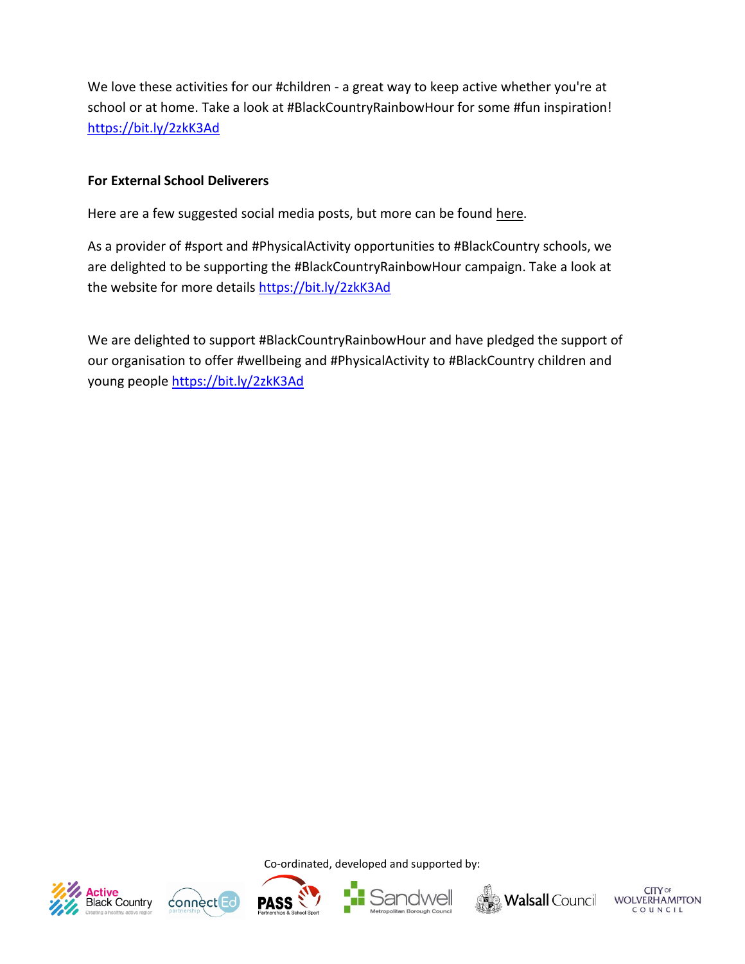We love these activities for our #children - a great way to keep active whether you're at school or at home. Take a look at #BlackCountryRainbowHour for some #fun inspiration! <https://bit.ly/2zkK3Ad>

## **For External School Deliverers**

Here are a few suggested social media posts, but more can be found here.

As a provider of #sport and #PhysicalActivity opportunities to #BlackCountry schools, we are delighted to be supporting the #BlackCountryRainbowHour campaign. Take a look at the website for more details <https://bit.ly/2zkK3Ad>

We are delighted to support #BlackCountryRainbowHour and have pledged the support of our organisation to offer #wellbeing and #PhysicalActivity to #BlackCountry children and young people <https://bit.ly/2zkK3Ad>











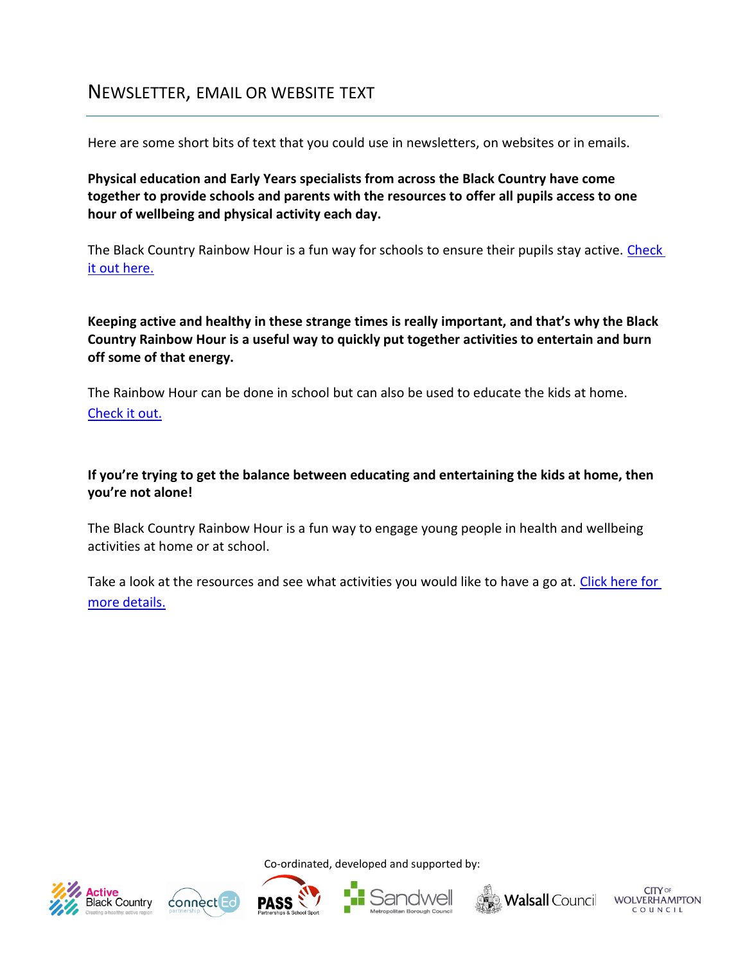# <span id="page-10-0"></span>NEWSLETTER, EMAIL OR WEBSITE TEXT

Here are some short bits of text that you could use in newsletters, on websites or in emails.

**Physical education and Early Years specialists from across the Black Country have come together to provide schools and parents with the resources to offer all pupils access to one hour of wellbeing and physical activity each day.** 

The Black Country Rainbow Hour is a fun way for schools to ensure their pupils stay active. [Check](https://bit.ly/2zkK3Ad)  [it out here.](https://bit.ly/2zkK3Ad)

**Keeping active and healthy in these strange times is really important, and that's why the Black Country Rainbow Hour is a useful way to quickly put together activities to entertain and burn off some of that energy.** 

The Rainbow Hour can be done in school but can also be used to educate the kids at home. [Check it out.](https://bit.ly/2zkK3Ad)

# **If you're trying to get the balance between educating and entertaining the kids at home, then you're not alone!**

The Black Country Rainbow Hour is a fun way to engage young people in health and wellbeing activities at home or at school.

Take a look at the resources and see what activities you would like to have a go at. Click here for [more details.](https://bit.ly/2zkK3Ad)











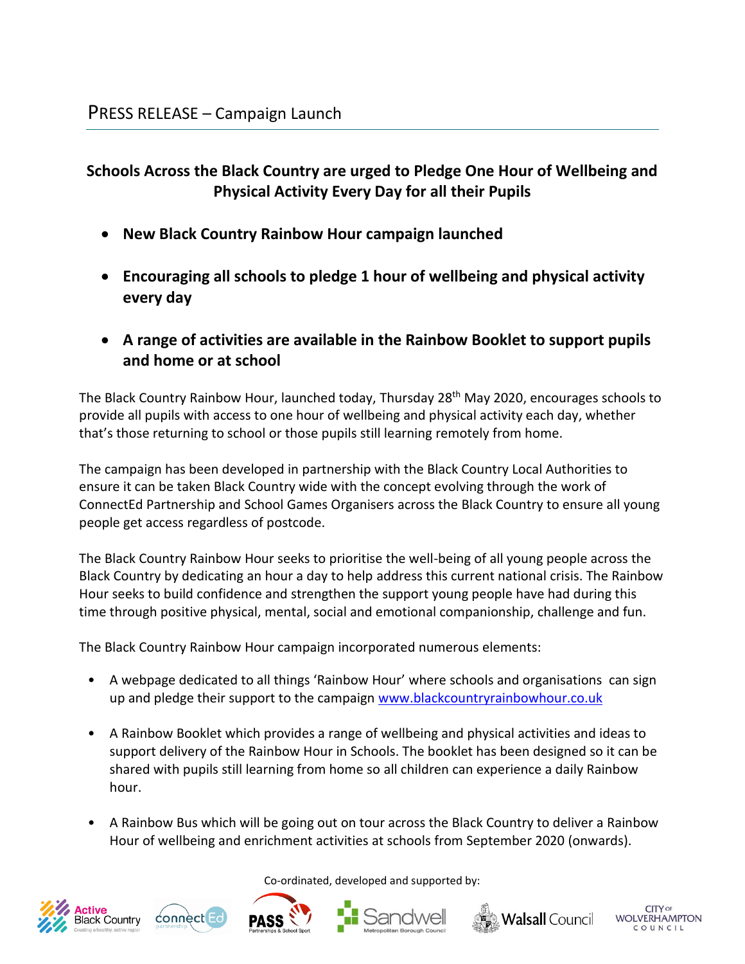# <span id="page-11-0"></span>**Schools Across the Black Country are urged to Pledge One Hour of Wellbeing and Physical Activity Every Day for all their Pupils**

- **New Black Country Rainbow Hour campaign launched**
- **Encouraging all schools to pledge 1 hour of wellbeing and physical activity every day**
- **A range of activities are available in the Rainbow Booklet to support pupils and home or at school**

The Black Country Rainbow Hour, launched today, Thursday 28<sup>th</sup> May 2020, encourages schools to provide all pupils with access to one hour of wellbeing and physical activity each day, whether that's those returning to school or those pupils still learning remotely from home.

The campaign has been developed in partnership with the Black Country Local Authorities to ensure it can be taken Black Country wide with the concept evolving through the work of ConnectEd Partnership and School Games Organisers across the Black Country to ensure all young people get access regardless of postcode.

The Black Country Rainbow Hour seeks to prioritise the well-being of all young people across the Black Country by dedicating an hour a day to help address this current national crisis. The Rainbow Hour seeks to build confidence and strengthen the support young people have had during this time through positive physical, mental, social and emotional companionship, challenge and fun.

The Black Country Rainbow Hour campaign incorporated numerous elements:

- A webpage dedicated to all things 'Rainbow Hour' where schools and organisations can sign up and pledge their support to the campaign [www.blackcountryrainbowhour.co.uk](http://www.blackcountryrainbowhour.co.uk/)
- A Rainbow Booklet which provides a range of wellbeing and physical activities and ideas to support delivery of the Rainbow Hour in Schools. The booklet has been designed so it can be shared with pupils still learning from home so all children can experience a daily Rainbow hour.
- A Rainbow Bus which will be going out on tour across the Black Country to deliver a Rainbow Hour of wellbeing and enrichment activities at schools from September 2020 (onwards).









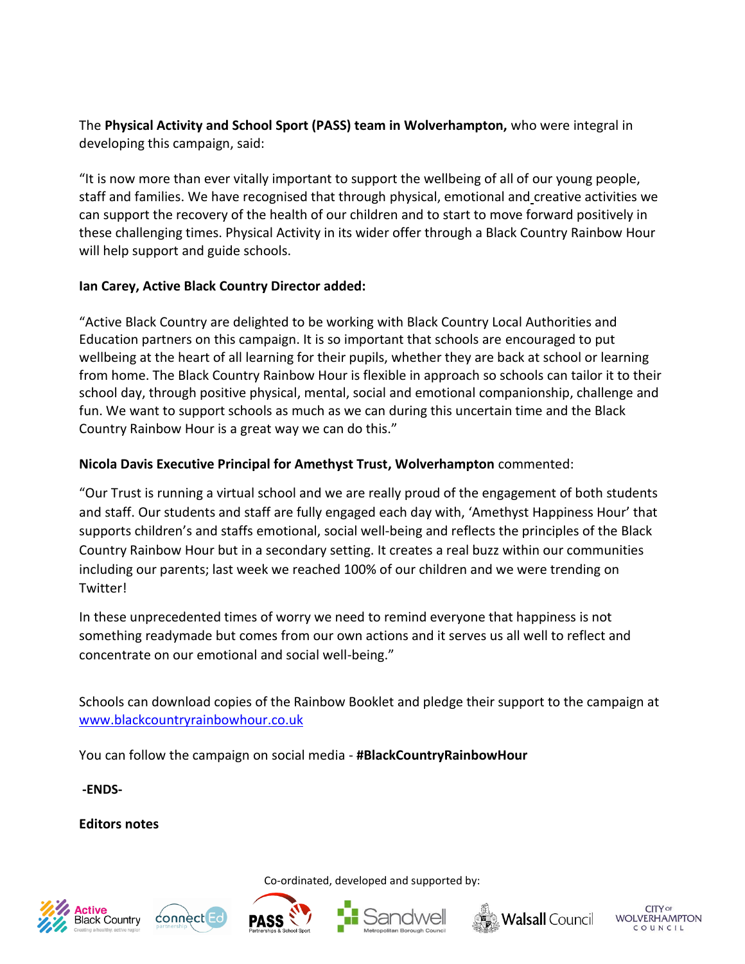The **Physical Activity and School Sport (PASS) team in Wolverhampton,** who were integral in developing this campaign, said:

"It is now more than ever vitally important to support the wellbeing of all of our young people, staff and families. We have recognised that through physical, emotional and creative activities we can support the recovery of the health of our children and to start to move forward positively in these challenging times. Physical Activity in its wider offer through a Black Country Rainbow Hour will help support and guide schools.

## **Ian Carey, Active Black Country Director added:**

"Active Black Country are delighted to be working with Black Country Local Authorities and Education partners on this campaign. It is so important that schools are encouraged to put wellbeing at the heart of all learning for their pupils, whether they are back at school or learning from home. The Black Country Rainbow Hour is flexible in approach so schools can tailor it to their school day, through positive physical, mental, social and emotional companionship, challenge and fun. We want to support schools as much as we can during this uncertain time and the Black Country Rainbow Hour is a great way we can do this."

## **Nicola Davis Executive Principal for Amethyst Trust, Wolverhampton** commented:

"Our Trust is running a virtual school and we are really proud of the engagement of both students and staff. Our students and staff are fully engaged each day with, 'Amethyst Happiness Hour' that supports children's and staffs emotional, social well-being and reflects the principles of the Black Country Rainbow Hour but in a secondary setting. It creates a real buzz within our communities including our parents; last week we reached 100% of our children and we were trending on Twitter!

In these unprecedented times of worry we need to remind everyone that happiness is not something readymade but comes from our own actions and it serves us all well to reflect and concentrate on our emotional and social well-being."

Schools can download copies of the Rainbow Booklet and pledge their support to the campaign at [www.blackcountryrainbowhour.co.uk](http://www.blackcountryrainbowhour.co.uk/)

Co-ordinated, developed and supported by:

You can follow the campaign on social media - **#BlackCountryRainbowHour**

**-ENDS-**

**Editors notes** 











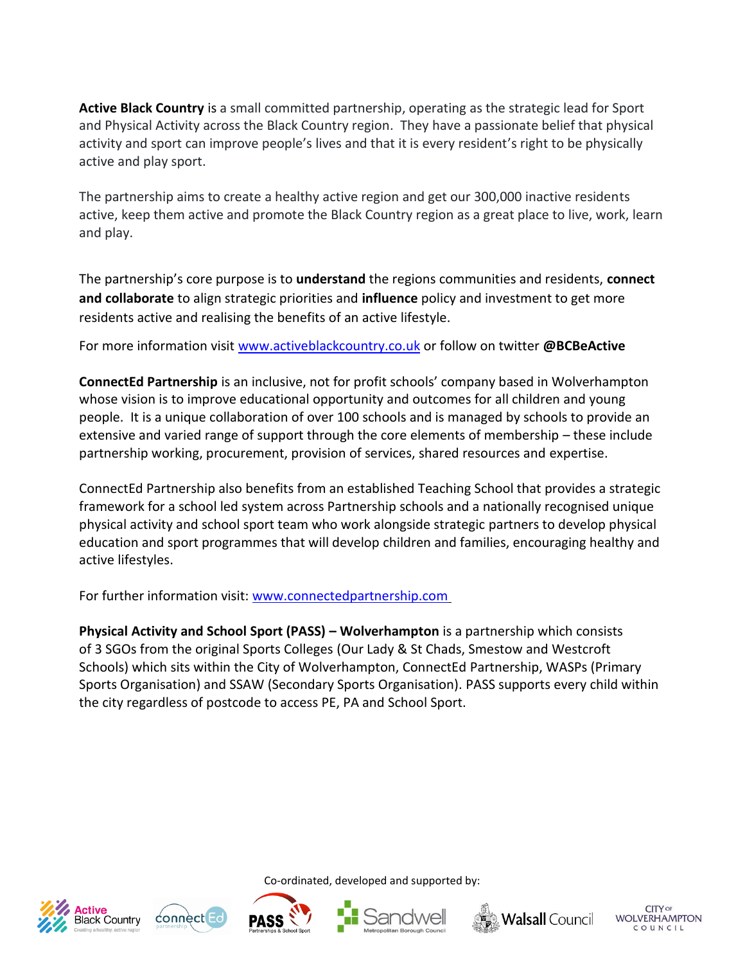**Active Black Country** is a small committed partnership, operating as the strategic lead for Sport and Physical Activity across the Black Country region. They have a passionate belief that physical activity and sport can improve people's lives and that it is every resident's right to be physically active and play sport.

The partnership aims to create a healthy active region and get our 300,000 inactive residents active, keep them active and promote the Black Country region as a great place to live, work, learn and play.

The partnership's core purpose is to **understand** the regions communities and residents, **connect and collaborate** to align strategic priorities and **influence** policy and investment to get more residents active and realising the benefits of an active lifestyle.

For more information visit [www.activeblackcountry.co.uk](http://www.activeblackcountry.co.uk/) or follow on twitter **@BCBeActive**

**ConnectEd Partnership** is an inclusive, not for profit schools' company based in Wolverhampton whose vision is to improve educational opportunity and outcomes for all children and young people. It is a unique collaboration of over 100 schools and is managed by schools to provide an extensive and varied range of support through the core elements of membership – these include partnership working, procurement, provision of services, shared resources and expertise.

ConnectEd Partnership also benefits from an established Teaching School that provides a strategic framework for a school led system across Partnership schools and a nationally recognised unique physical activity and school sport team who work alongside strategic partners to develop physical education and sport programmes that will develop children and families, encouraging healthy and active lifestyles.

For further information visit: [www.connectedpartnership.com](http://www.connectedpartnership.com/)

**Physical Activity and School Sport (PASS) – Wolverhampton** is a partnership which consists of 3 SGOs from the original Sports Colleges (Our Lady & St Chads, Smestow and Westcroft Schools) which sits within the City of Wolverhampton, ConnectEd Partnership, WASPs (Primary Sports Organisation) and SSAW (Secondary Sports Organisation). PASS supports every child within the city regardless of postcode to access PE, PA and School Sport.











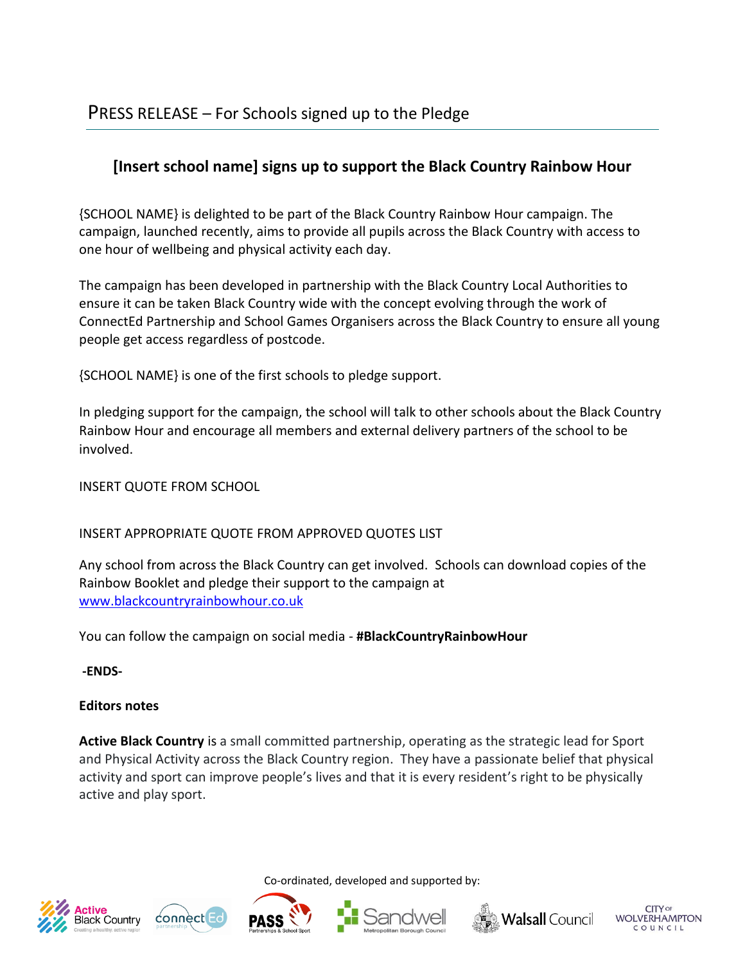# <span id="page-14-0"></span>**[Insert school name] signs up to support the Black Country Rainbow Hour**

{SCHOOL NAME} is delighted to be part of the Black Country Rainbow Hour campaign. The campaign, launched recently, aims to provide all pupils across the Black Country with access to one hour of wellbeing and physical activity each day.

The campaign has been developed in partnership with the Black Country Local Authorities to ensure it can be taken Black Country wide with the concept evolving through the work of ConnectEd Partnership and School Games Organisers across the Black Country to ensure all young people get access regardless of postcode.

{SCHOOL NAME} is one of the first schools to pledge support.

In pledging support for the campaign, the school will talk to other schools about the Black Country Rainbow Hour and encourage all members and external delivery partners of the school to be involved.

INSERT QUOTE FROM SCHOOL

# INSERT APPROPRIATE QUOTE FROM APPROVED QUOTES LIST

Any school from across the Black Country can get involved. Schools can download copies of the Rainbow Booklet and pledge their support to the campaign at [www.blackcountryrainbowhour.co.uk](http://www.blackcountryrainbowhour.co.uk/)

You can follow the campaign on social media - **#BlackCountryRainbowHour**

**-ENDS-**

# **Editors notes**

**Active Black Country** is a small committed partnership, operating as the strategic lead for Sport and Physical Activity across the Black Country region. They have a passionate belief that physical activity and sport can improve people's lives and that it is every resident's right to be physically active and play sport.











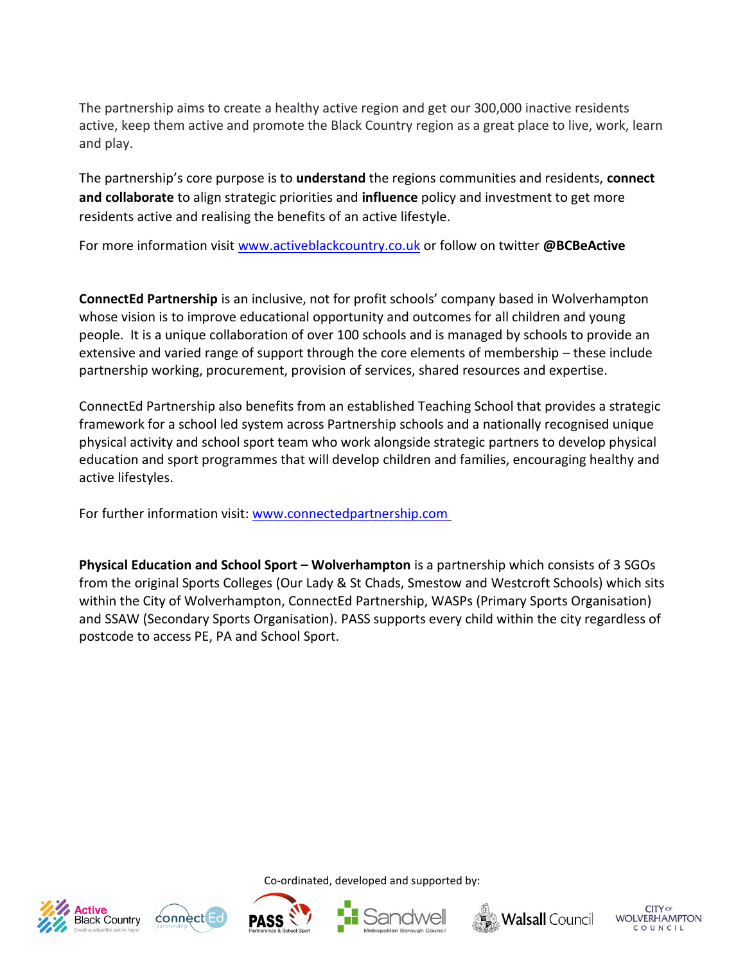The partnership aims to create a healthy active region and get our 300,000 inactive residents active, keep them active and promote the Black Country region as a great place to live, work, learn and play.

The partnership's core purpose is to **understand** the regions communities and residents, **connect and collaborate** to align strategic priorities and **influence** policy and investment to get more residents active and realising the benefits of an active lifestyle.

For more information visit [www.activeblackcountry.co.uk](http://www.activeblackcountry.co.uk/) or follow on twitter **@BCBeActive**

**ConnectEd Partnership** is an inclusive, not for profit schools' company based in Wolverhampton whose vision is to improve educational opportunity and outcomes for all children and young people. It is a unique collaboration of over 100 schools and is managed by schools to provide an extensive and varied range of support through the core elements of membership – these include partnership working, procurement, provision of services, shared resources and expertise.

ConnectEd Partnership also benefits from an established Teaching School that provides a strategic framework for a school led system across Partnership schools and a nationally recognised unique physical activity and school sport team who work alongside strategic partners to develop physical education and sport programmes that will develop children and families, encouraging healthy and active lifestyles.

For further information visit: [www.connectedpartnership.com](http://www.connectedpartnership.com/)

**Physical Education and School Sport – Wolverhampton** is a partnership which consists of 3 SGOs from the original Sports Colleges (Our Lady & St Chads, Smestow and Westcroft Schools) which sits within the City of Wolverhampton, ConnectEd Partnership, WASPs (Primary Sports Organisation) and SSAW (Secondary Sports Organisation). PASS supports every child within the city regardless of postcode to access PE, PA and School Sport.